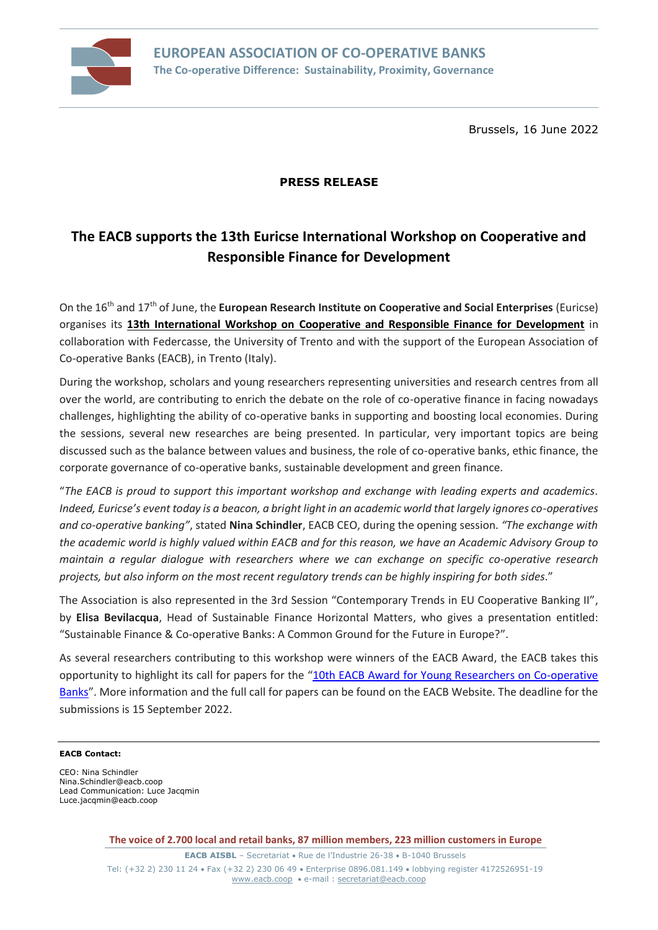

Brussels, 16 June 2022

## **PRESS RELEASE**

# **The EACB supports the 13th Euricse International Workshop on Cooperative and Responsible Finance for Development**

On the 16th and 17th of June, the **European Research Institute on Cooperative and Social Enterprises** (Euricse) organises its **[13th International Workshop on Cooperative and Responsible Finance for Development](https://2021.euricse.eu/cooperative-and-responsible-finance-for-development-the-workshop/)** in collaboration with Federcasse, the University of Trento and with the support of the European Association of Co-operative Banks (EACB), in Trento (Italy).

During the workshop, scholars and young researchers representing universities and research centres from all over the world, are contributing to enrich the debate on the role of co-operative finance in facing nowadays challenges, highlighting the ability of co-operative banks in supporting and boosting local economies. During the sessions, several new researches are being presented. In particular, very important topics are being discussed such as the balance between values and business, the role of co-operative banks, ethic finance, the corporate governance of co-operative banks, sustainable development and green finance.

"*The EACB is proud to support this important workshop and exchange with leading experts and academics. Indeed, Euricse's event today is a beacon, a bright light in an academic world that largely ignores co-operatives and co-operative banking"*, stated **Nina Schindler**, EACB CEO, during the opening session. *"The exchange with the academic world is highly valued within EACB and for this reason, we have an Academic Advisory Group to maintain a regular dialogue with researchers where we can exchange on specific co-operative research projects, but also inform on the most recent regulatory trends can be highly inspiring for both sides*."

The Association is also represented in the 3rd Session "Contemporary Trends in EU Cooperative Banking II", by **Elisa Bevilacqua**, Head of Sustainable Finance Horizontal Matters, who gives a presentation entitled: "Sustainable Finance & Co-operative Banks: A Common Ground for the Future in Europe?".

As several researchers contributing to this workshop were winners of the EACB Award, the EACB takes this opportunity to highlight its call for papers for the "10th EACB Award for Young Researchers on Co-operative [Banks](https://www.eacb.coop/en/studies/award-for-young-researchers-on-co-operative-banks/call-for-papers-10th-eacb-award.html)". More information and the full call for papers can be found on the EACB Website. The deadline for the submissions is 15 September 2022.

### **EACB Contact:**

CEO: Nina Schindler Nina.Schindler@eacb.coop Lead Communication: Luce Jacqmin Luce.jacqmin@eacb.coop

**The voice of 2.700 local and retail banks, 87 million members, 223 million customers in Europe**

**EACB AISBL** – Secretariat • Rue de l'Industrie 26-38 • B-1040 Brussels Tel: (+32 2) 230 11 24 • Fax (+32 2) 230 06 49 • Enterprise 0896.081.149 • lobbying register 4172526951-19 [www.eacb.coop](http://www.eacb.coop/) • e-mail : [secretariat@eacb.coop](mailto:secretariat@eacb.coop)